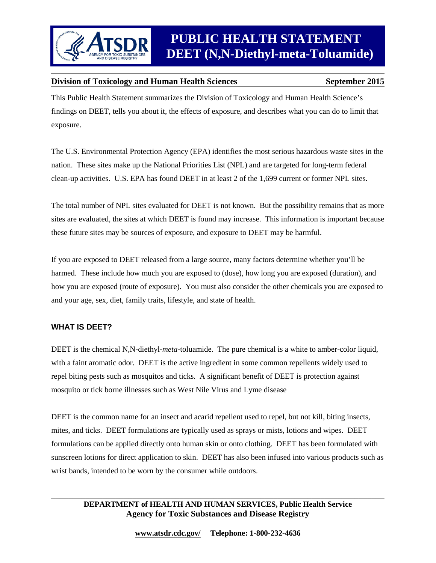

This Public Health Statement summarizes the Division of Toxicology and Human Health Science's findings on DEET, tells you about it, the effects of exposure, and describes what you can do to limit that exposure.

The U.S. Environmental Protection Agency (EPA) identifies the most serious hazardous waste sites in the nation. These sites make up the National Priorities List (NPL) and are targeted for long-term federal clean-up activities. U.S. EPA has found DEET in at least 2 of the 1,699 current or former NPL sites.

The total number of NPL sites evaluated for DEET is not known. But the possibility remains that as more sites are evaluated, the sites at which DEET is found may increase. This information is important because these future sites may be sources of exposure, and exposure to DEET may be harmful.

If you are exposed to DEET released from a large source, many factors determine whether you'll be harmed. These include how much you are exposed to (dose), how long you are exposed (duration), and how you are exposed (route of exposure). You must also consider the other chemicals you are exposed to and your age, sex, diet, family traits, lifestyle, and state of health.

#### **WHAT IS DEET?**

DEET is the chemical N,N-diethyl-*meta*-toluamide. The pure chemical is a white to amber-color liquid, with a faint aromatic odor. DEET is the active ingredient in some common repellents widely used to repel biting pests such as mosquitos and ticks. A significant benefit of DEET is protection against mosquito or tick borne illnesses such as West Nile Virus and Lyme disease

DEET is the common name for an insect and acarid repellent used to repel, but not kill, biting insects, mites, and ticks. DEET formulations are typically used as sprays or mists, lotions and wipes. DEET formulations can be applied directly onto human skin or onto clothing. DEET has been formulated with sunscreen lotions for direct application to skin. DEET has also been infused into various products such as wrist bands, intended to be worn by the consumer while outdoors.

#### \_\_\_\_\_\_\_\_\_\_\_\_\_\_\_\_\_\_\_\_\_\_\_\_\_\_\_\_\_\_\_\_\_\_\_\_\_\_\_\_\_\_\_\_\_\_\_\_\_\_\_\_\_\_\_\_\_\_\_\_\_\_\_\_\_\_\_\_\_\_\_\_\_\_\_\_\_\_ **DEPARTMENT of HEALTH AND HUMAN SERVICES, Public Health Service Agency for Toxic Substances and Disease Registry**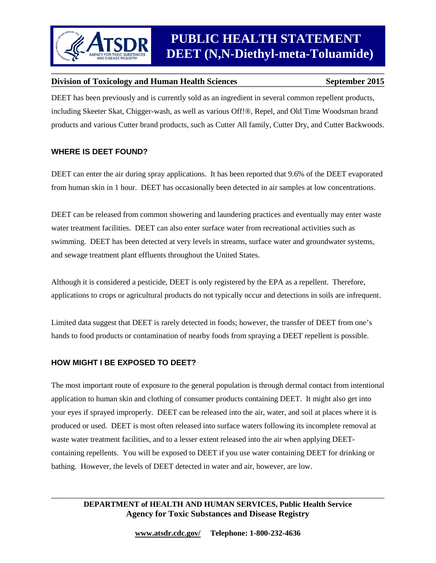DEET has been previously and is currently sold as an ingredient in several common repellent products, including Skeeter Skat, Chigger-wash, as well as various Off!®, Repel, and Old Time Woodsman brand products and various Cutter brand products, such as Cutter All family, Cutter Dry, and Cutter Backwoods.

#### **WHERE IS DEET FOUND?**

DEET can enter the air during spray applications. It has been reported that 9.6% of the DEET evaporated from human skin in 1 hour. DEET has occasionally been detected in air samples at low concentrations.

DEET can be released from common showering and laundering practices and eventually may enter waste water treatment facilities. DEET can also enter surface water from recreational activities such as swimming. DEET has been detected at very levels in streams, surface water and groundwater systems, and sewage treatment plant effluents throughout the United States.

Although it is considered a pesticide, DEET is only registered by the EPA as a repellent. Therefore, applications to crops or agricultural products do not typically occur and detections in soils are infrequent.

Limited data suggest that DEET is rarely detected in foods; however, the transfer of DEET from one's hands to food products or contamination of nearby foods from spraying a DEET repellent is possible.

#### **HOW MIGHT I BE EXPOSED TO DEET?**

The most important route of exposure to the general population is through dermal contact from intentional application to human skin and clothing of consumer products containing DEET. It might also get into your eyes if sprayed improperly. DEET can be released into the air, water, and soil at places where it is produced or used. DEET is most often released into surface waters following its incomplete removal at waste water treatment facilities, and to a lesser extent released into the air when applying DEETcontaining repellents. You will be exposed to DEET if you use water containing DEET for drinking or bathing. However, the levels of DEET detected in water and air, however, are low.

#### \_\_\_\_\_\_\_\_\_\_\_\_\_\_\_\_\_\_\_\_\_\_\_\_\_\_\_\_\_\_\_\_\_\_\_\_\_\_\_\_\_\_\_\_\_\_\_\_\_\_\_\_\_\_\_\_\_\_\_\_\_\_\_\_\_\_\_\_\_\_\_\_\_\_\_\_\_\_ **DEPARTMENT of HEALTH AND HUMAN SERVICES, Public Health Service Agency for Toxic Substances and Disease Registry**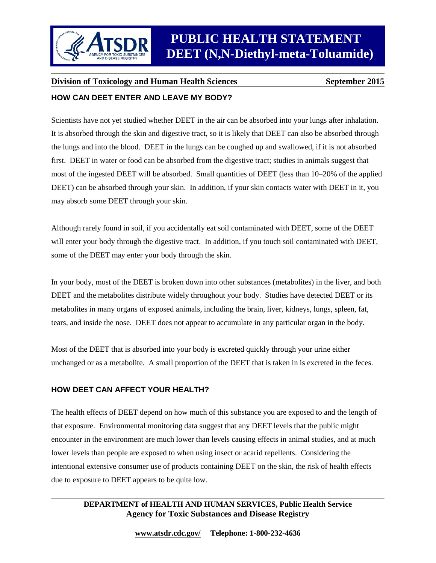

## **Division of Toxicology and Human Health Sciences** September 2015 **HOW CAN DEET ENTER AND LEAVE MY BODY?**

## Scientists have not yet studied whether DEET in the air can be absorbed into your lungs after inhalation. It is absorbed through the skin and digestive tract, so it is likely that DEET can also be absorbed through the lungs and into the blood. DEET in the lungs can be coughed up and swallowed, if it is not absorbed first. DEET in water or food can be absorbed from the digestive tract; studies in animals suggest that most of the ingested DEET will be absorbed. Small quantities of DEET (less than 10–20% of the applied DEET) can be absorbed through your skin. In addition, if your skin contacts water with DEET in it, you may absorb some DEET through your skin.

Although rarely found in soil, if you accidentally eat soil contaminated with DEET, some of the DEET will enter your body through the digestive tract. In addition, if you touch soil contaminated with DEET, some of the DEET may enter your body through the skin.

In your body, most of the DEET is broken down into other substances (metabolites) in the liver, and both DEET and the metabolites distribute widely throughout your body. Studies have detected DEET or its metabolites in many organs of exposed animals, including the brain, liver, kidneys, lungs, spleen, fat, tears, and inside the nose. DEET does not appear to accumulate in any particular organ in the body.

Most of the DEET that is absorbed into your body is excreted quickly through your urine either unchanged or as a metabolite. A small proportion of the DEET that is taken in is excreted in the feces.

### **HOW DEET CAN AFFECT YOUR HEALTH?**

The health effects of DEET depend on how much of this substance you are exposed to and the length of that exposure. Environmental monitoring data suggest that any DEET levels that the public might encounter in the environment are much lower than levels causing effects in animal studies, and at much lower levels than people are exposed to when using insect or acarid repellents. Considering the intentional extensive consumer use of products containing DEET on the skin, the risk of health effects due to exposure to DEET appears to be quite low.

#### \_\_\_\_\_\_\_\_\_\_\_\_\_\_\_\_\_\_\_\_\_\_\_\_\_\_\_\_\_\_\_\_\_\_\_\_\_\_\_\_\_\_\_\_\_\_\_\_\_\_\_\_\_\_\_\_\_\_\_\_\_\_\_\_\_\_\_\_\_\_\_\_\_\_\_\_\_\_ **DEPARTMENT of HEALTH AND HUMAN SERVICES, Public Health Service Agency for Toxic Substances and Disease Registry**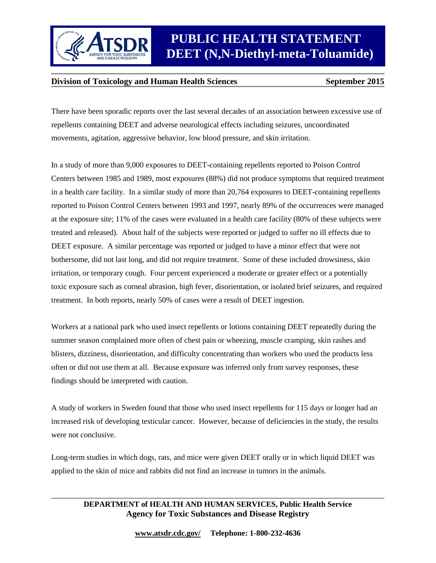

# *ATSDR PUBLIC HEALTH STATEMENT*  **DEET (N,N-Diethyl-meta-Toluamide)**

#### **Division of Toxicology and Human Health Sciences** September 2015

There have been sporadic reports over the last several decades of an association between excessive use of repellents containing DEET and adverse neurological effects including seizures, uncoordinated movements, agitation, aggressive behavior, low blood pressure, and skin irritation.

In a study of more than 9,000 exposures to DEET-containing repellents reported to Poison Control Centers between 1985 and 1989, most exposures (88%) did not produce symptoms that required treatment in a health care facility. In a similar study of more than 20,764 exposures to DEET-containing repellents reported to Poison Control Centers between 1993 and 1997, nearly 89% of the occurrences were managed at the exposure site; 11% of the cases were evaluated in a health care facility (80% of these subjects were treated and released). About half of the subjects were reported or judged to suffer no ill effects due to DEET exposure. A similar percentage was reported or judged to have a minor effect that were not bothersome, did not last long, and did not require treatment. Some of these included drowsiness, skin irritation, or temporary cough. Four percent experienced a moderate or greater effect or a potentially toxic exposure such as corneal abrasion, high fever, disorientation, or isolated brief seizures, and required treatment. In both reports, nearly 50% of cases were a result of DEET ingestion.

Workers at a national park who used insect repellents or lotions containing DEET repeatedly during the summer season complained more often of chest pain or wheezing, muscle cramping, skin rashes and blisters, dizziness, disorientation, and difficulty concentrating than workers who used the products less often or did not use them at all. Because exposure was inferred only from survey responses, these findings should be interpreted with caution.

A study of workers in Sweden found that those who used insect repellents for 115 days or longer had an increased risk of developing testicular cancer. However, because of deficiencies in the study, the results were not conclusive.

Long-term studies in which dogs, rats, and mice were given DEET orally or in which liquid DEET was applied to the skin of mice and rabbits did not find an increase in tumors in the animals.

#### \_\_\_\_\_\_\_\_\_\_\_\_\_\_\_\_\_\_\_\_\_\_\_\_\_\_\_\_\_\_\_\_\_\_\_\_\_\_\_\_\_\_\_\_\_\_\_\_\_\_\_\_\_\_\_\_\_\_\_\_\_\_\_\_\_\_\_\_\_\_\_\_\_\_\_\_\_\_ **DEPARTMENT of HEALTH AND HUMAN SERVICES, Public Health Service Agency for Toxic Substances and Disease Registry**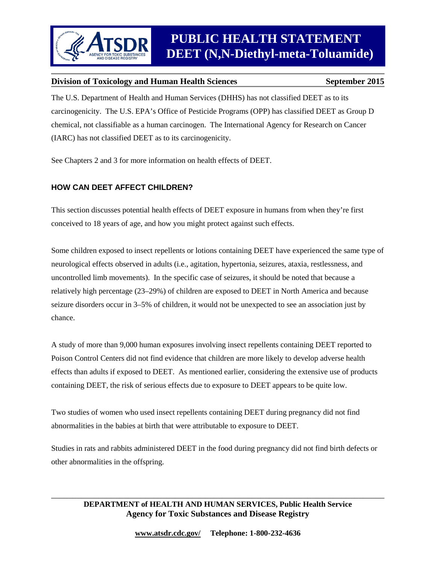The U.S. Department of Health and Human Services (DHHS) has not classified DEET as to its carcinogenicity. The U.S. EPA's Office of Pesticide Programs (OPP) has classified DEET as Group D chemical, not classifiable as a human carcinogen. The International Agency for Research on Cancer (IARC) has not classified DEET as to its carcinogenicity.

See Chapters 2 and 3 for more information on health effects of DEET.

### **HOW CAN DEET AFFECT CHILDREN?**

This section discusses potential health effects of DEET exposure in humans from when they're first conceived to 18 years of age, and how you might protect against such effects.

Some children exposed to insect repellents or lotions containing DEET have experienced the same type of neurological effects observed in adults (i.e., agitation, hypertonia, seizures, ataxia, restlessness, and uncontrolled limb movements). In the specific case of seizures, it should be noted that because a relatively high percentage (23–29%) of children are exposed to DEET in North America and because seizure disorders occur in 3–5% of children, it would not be unexpected to see an association just by chance.

A study of more than 9,000 human exposures involving insect repellents containing DEET reported to Poison Control Centers did not find evidence that children are more likely to develop adverse health effects than adults if exposed to DEET. As mentioned earlier, considering the extensive use of products containing DEET, the risk of serious effects due to exposure to DEET appears to be quite low.

Two studies of women who used insect repellents containing DEET during pregnancy did not find abnormalities in the babies at birth that were attributable to exposure to DEET.

Studies in rats and rabbits administered DEET in the food during pregnancy did not find birth defects or other abnormalities in the offspring.

#### \_\_\_\_\_\_\_\_\_\_\_\_\_\_\_\_\_\_\_\_\_\_\_\_\_\_\_\_\_\_\_\_\_\_\_\_\_\_\_\_\_\_\_\_\_\_\_\_\_\_\_\_\_\_\_\_\_\_\_\_\_\_\_\_\_\_\_\_\_\_\_\_\_\_\_\_\_\_ **DEPARTMENT of HEALTH AND HUMAN SERVICES, Public Health Service Agency for Toxic Substances and Disease Registry**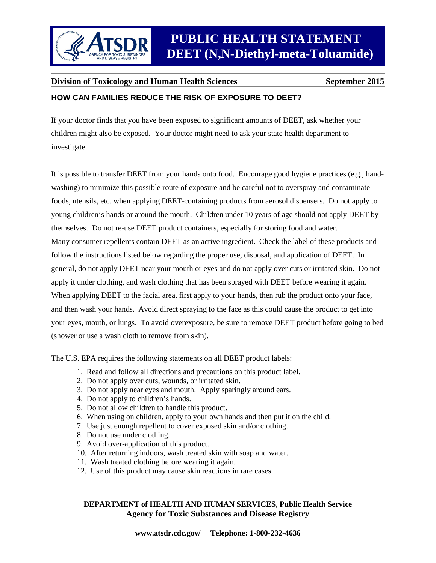#### **HOW CAN FAMILIES REDUCE THE RISK OF EXPOSURE TO DEET?**

If your doctor finds that you have been exposed to significant amounts of DEET, ask whether your children might also be exposed. Your doctor might need to ask your state health department to investigate.

It is possible to transfer DEET from your hands onto food. Encourage good hygiene practices (e.g., handwashing) to minimize this possible route of exposure and be careful not to overspray and contaminate foods, utensils, etc. when applying DEET-containing products from aerosol dispensers. Do not apply to young children's hands or around the mouth. Children under 10 years of age should not apply DEET by themselves. Do not re-use DEET product containers, especially for storing food and water. Many consumer repellents contain DEET as an active ingredient. Check the label of these products and follow the instructions listed below regarding the proper use, disposal, and application of DEET. In general, do not apply DEET near your mouth or eyes and do not apply over cuts or irritated skin. Do not apply it under clothing, and wash clothing that has been sprayed with DEET before wearing it again. When applying DEET to the facial area, first apply to your hands, then rub the product onto your face, and then wash your hands. Avoid direct spraying to the face as this could cause the product to get into your eyes, mouth, or lungs. To avoid overexposure, be sure to remove DEET product before going to bed (shower or use a wash cloth to remove from skin).

The U.S. EPA requires the following statements on all DEET product labels:

- 1. Read and follow all directions and precautions on this product label.
- 2. Do not apply over cuts, wounds, or irritated skin.
- 3. Do not apply near eyes and mouth. Apply sparingly around ears.
- 4. Do not apply to children's hands.
- 5. Do not allow children to handle this product.
- 6. When using on children, apply to your own hands and then put it on the child.
- 7. Use just enough repellent to cover exposed skin and/or clothing.
- 8. Do not use under clothing.
- 9. Avoid over-application of this product.
- 10. After returning indoors, wash treated skin with soap and water.
- 11. Wash treated clothing before wearing it again.
- 12. Use of this product may cause skin reactions in rare cases.

\_\_\_\_\_\_\_\_\_\_\_\_\_\_\_\_\_\_\_\_\_\_\_\_\_\_\_\_\_\_\_\_\_\_\_\_\_\_\_\_\_\_\_\_\_\_\_\_\_\_\_\_\_\_\_\_\_\_\_\_\_\_\_\_\_\_\_\_\_\_\_\_\_\_\_\_\_\_ **DEPARTMENT of HEALTH AND HUMAN SERVICES, Public Health Service Agency for Toxic Substances and Disease Registry**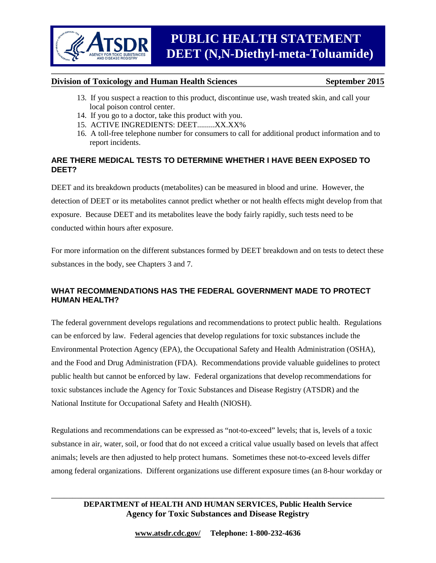- 13. If you suspect a reaction to this product, discontinue use, wash treated skin, and call your local poison control center.
- 14. If you go to a doctor, take this product with you.
- 15. ACTIVE INGREDIENTS: DEET.........XX.XX%
- 16. A toll-free telephone number for consumers to call for additional product information and to report incidents.

#### **ARE THERE MEDICAL TESTS TO DETERMINE WHETHER I HAVE BEEN EXPOSED TO DEET?**

DEET and its breakdown products (metabolites) can be measured in blood and urine. However, the detection of DEET or its metabolites cannot predict whether or not health effects might develop from that exposure. Because DEET and its metabolites leave the body fairly rapidly, such tests need to be conducted within hours after exposure.

For more information on the different substances formed by DEET breakdown and on tests to detect these substances in the body, see Chapters 3 and 7.

#### **WHAT RECOMMENDATIONS HAS THE FEDERAL GOVERNMENT MADE TO PROTECT HUMAN HEALTH?**

The federal government develops regulations and recommendations to protect public health. Regulations can be enforced by law. Federal agencies that develop regulations for toxic substances include the Environmental Protection Agency (EPA), the Occupational Safety and Health Administration (OSHA), and the Food and Drug Administration (FDA). Recommendations provide valuable guidelines to protect public health but cannot be enforced by law. Federal organizations that develop recommendations for toxic substances include the Agency for Toxic Substances and Disease Registry (ATSDR) and the National Institute for Occupational Safety and Health (NIOSH).

Regulations and recommendations can be expressed as "not-to-exceed" levels; that is, levels of a toxic substance in air, water, soil, or food that do not exceed a critical value usually based on levels that affect animals; levels are then adjusted to help protect humans. Sometimes these not-to-exceed levels differ among federal organizations. Different organizations use different exposure times (an 8-hour workday or

### **DEPARTMENT of HEALTH AND HUMAN SERVICES, Public Health Service Agency for Toxic Substances and Disease Registry**

\_\_\_\_\_\_\_\_\_\_\_\_\_\_\_\_\_\_\_\_\_\_\_\_\_\_\_\_\_\_\_\_\_\_\_\_\_\_\_\_\_\_\_\_\_\_\_\_\_\_\_\_\_\_\_\_\_\_\_\_\_\_\_\_\_\_\_\_\_\_\_\_\_\_\_\_\_\_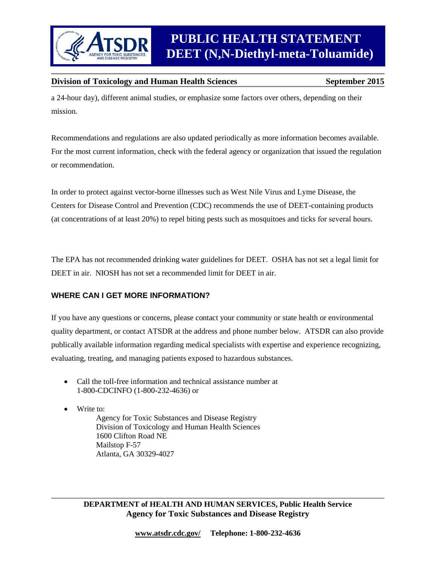

a 24-hour day), different animal studies, or emphasize some factors over others, depending on their mission.

Recommendations and regulations are also updated periodically as more information becomes available. For the most current information, check with the federal agency or organization that issued the regulation or recommendation.

In order to protect against vector-borne illnesses such as West Nile Virus and Lyme Disease, the Centers for Disease Control and Prevention (CDC) recommends the use of DEET-containing products (at concentrations of at least 20%) to repel biting pests such as mosquitoes and ticks for several hours.

The EPA has not recommended drinking water guidelines for DEET. OSHA has not set a legal limit for DEET in air. NIOSH has not set a recommended limit for DEET in air.

#### **WHERE CAN I GET MORE INFORMATION?**

If you have any questions or concerns, please contact your community or state health or environmental quality department, or contact ATSDR at the address and phone number below. ATSDR can also provide publically available information regarding medical specialists with expertise and experience recognizing, evaluating, treating, and managing patients exposed to hazardous substances.

• Call the toll-free information and technical assistance number at 1-800-CDCINFO (1-800-232-4636) or

• Write to:

Agency for Toxic Substances and Disease Registry Division of Toxicology and Human Health Sciences 1600 Clifton Road NE Mailstop F-57 Atlanta, GA 30329-4027

\_\_\_\_\_\_\_\_\_\_\_\_\_\_\_\_\_\_\_\_\_\_\_\_\_\_\_\_\_\_\_\_\_\_\_\_\_\_\_\_\_\_\_\_\_\_\_\_\_\_\_\_\_\_\_\_\_\_\_\_\_\_\_\_\_\_\_\_\_\_\_\_\_\_\_\_\_\_ **DEPARTMENT of HEALTH AND HUMAN SERVICES, Public Health Service Agency for Toxic Substances and Disease Registry**